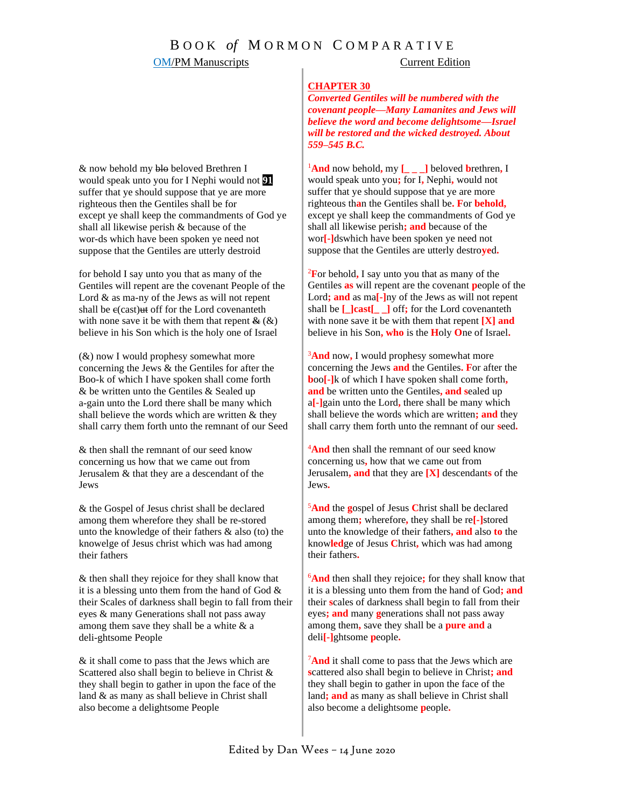### **CHAPTER 30**

*Converted Gentiles will be numbered with the covenant people—Many Lamanites and Jews will believe the word and become delightsome—Israel will be restored and the wicked destroyed. About 559–545 B.C.*

<sup>1</sup>**And** now behold**,** my **[\_ \_ \_]** beloved **b**rethren**,** I would speak unto you**;** for I**,** Nephi**,** would not suffer that ye should suppose that ye are more righteous th**a**n the Gentiles shall be**. F**or **behold,** except ye shall keep the commandments of God ye shall all likewise perish**; and** because of the wor**[-]**dswhich have been spoken ye need not suppose that the Gentiles are utterly destro**ye**d**.**

<sup>2</sup>**F**or behold**,** I say unto you that as many of the Gentiles **as** will repent are the covenant **p**eople of the Lord**; and** as ma**[-]**ny of the Jews as will not repent shall be **[\_]cast[\_ \_]** off**;** for the Lord covenanteth with none save it be with them that repent **[X] and** believe in his Son**, who** is the **H**oly **O**ne of Israel**.**

<sup>3</sup>**And** now**,** I would prophesy somewhat more concerning the Jews **and** the Gentiles**. F**or after the **b**oo**[-]**k of which I have spoken shall come forth**, and** be written unto the Gentiles**, and s**ealed up a**[-]**gain unto the Lord**,** there shall be many which shall believe the words which are written**; and** they shall carry them forth unto the remnant of our **s**eed**.**

<sup>4</sup>And then shall the remnant of our seed know concerning us**,** how that we came out from Jerusalem**, and** that they are **[X]** descendant**s** of the Jews**.**

<sup>5</sup>**And** the **g**ospel of Jesus **C**hrist shall be declared among them**;** wherefore**,** they shall be re**[-]**stored unto the knowledge of their fathers**, and** also **to** the know**led**ge of Jesus **C**hrist**,** which was had among their fathers**.**

<sup>6</sup>**And** then shall they rejoice**;** for they shall know that it is a blessing unto them from the hand of God**; and** their **s**cales of darkness shall begin to fall from their eyes**; and** many **g**enerations shall not pass away among them**,** save they shall be a **pure and** a deli**[-]**ghtsome **p**eople**.** 

<sup>7</sup>And it shall come to pass that the Jews which are **s**cattered also shall begin to believe in Christ**; and** they shall begin to gather in upon the face of the land**; and** as many as shall believe in Christ shall also become a delightsome **p**eople**.**

& now behold my blo beloved Brethren I would speak unto you for I Nephi would not **91** suffer that ye should suppose that ye are more righteous then the Gentiles shall be for except ye shall keep the commandments of God ye shall all likewise perish & because of the wor-ds which have been spoken ye need not suppose that the Gentiles are utterly destroid

for behold I say unto you that as many of the Gentiles will repent are the covenant People of the Lord & as ma-ny of the Jews as will not repent shall be  $e$ (cast) $#$  off for the Lord covenanteth with none save it be with them that repent  $\mathcal{L}(\mathcal{K})$ believe in his Son which is the holy one of Israel

 $(\&)$  now I would prophesy somewhat more concerning the Jews & the Gentiles for after the Boo-k of which I have spoken shall come forth & be written unto the Gentiles & Sealed up a-gain unto the Lord there shall be many which shall believe the words which are written & they shall carry them forth unto the remnant of our Seed

& then shall the remnant of our seed know concerning us how that we came out from Jerusalem & that they are a descendant of the Jews

& the Gospel of Jesus christ shall be declared among them wherefore they *s*hall be re-stored unto the knowledge of their fathers  $\&$  also (to) the knowelge of Jesus christ which was had among their fathers

& then shall they rejoice for they shall know that it is a blessing unto them from the hand of God  $\&$ their Scales of darkness shall begin to fall from their eyes & many Generations shall not pass away among them save they shall be a white  $\&$  a deli-ghtsome People

& it shall come to pass that the Jews which are Scattered also shall begin to believe in Christ & they shall begin to gather in upon the face of the land & as many as shall believe in Christ shall also become a delightsome People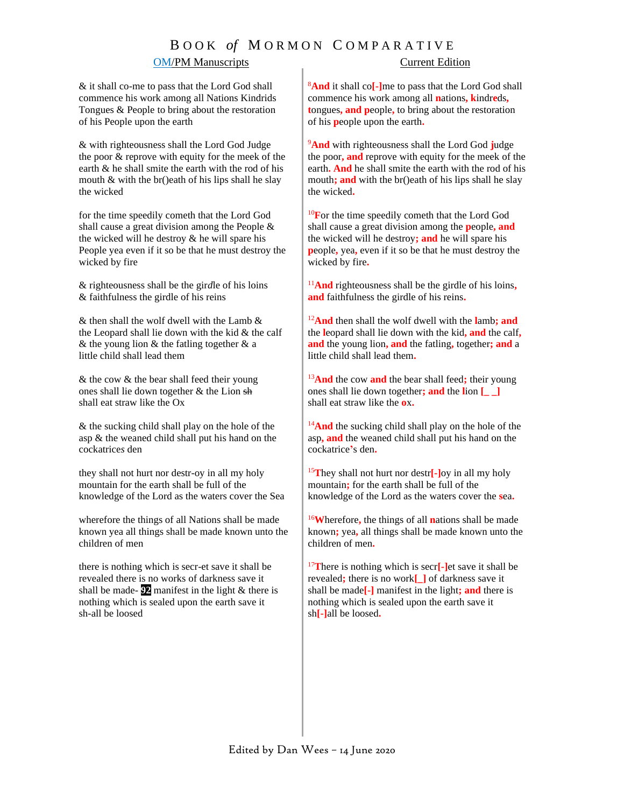# B O O K *of* M O R M O N C O M P A R A T I V E

### **OM/PM Manuscripts** Current Edition

& it shall co-me to pass that the Lord God shall commence his work among all Nations Kindrids Tongues & People to bring about the restoration of his People upon the earth

& with righteousness shall the Lord God Judge the poor & reprove with equity for the meek of the earth & he shall smite the earth with the rod of his mouth & with the br()eath of his lips shall he slay the wicked

for the time speedily cometh that the Lord God shall cause a great division among the People & the wicked will he destroy & he will spare his People yea even if it so be that he must destroy the wicked by fire

& righteousness shall be the gir*d*le of his loins & faithfulness the girdle of his reins

 $&$  then shall the wolf dwell with the Lamb  $&$ the Leopard shall lie down with the kid  $&$  the calf  $&$  the young lion  $&$  the fatling together  $&$  a little child shall lead them

& the cow & the bear shall feed their young ones shall lie down together & the Lion sh shall eat straw like the Ox

& the sucking child shall play on the hole of the asp & the weaned child shall put his hand on the cockatrice*s* den

they shall not hurt nor destr-oy in all my holy mountain for the earth shall be full of the knowledge of the Lord as the waters cover the Sea

wherefore the things of all Nations shall be made known yea all things shall be made known unto the children of men

there is nothing which is secr-et save it shall be revealed there is no works of darkness save it shall be made- $\overline{92}$  manifest in the light  $\&$  there is nothing which is sealed upon the earth save it sh-all be loosed

<sup>8</sup>**And** it shall co**[-]**me to pass that the Lord God shall commence his work among all **n**ations**, k**indr**e**ds**, t**ongues**, and p**eople**,** to bring about the restoration of his **p**eople upon the earth**.**

<sup>9</sup>**And** with righteousness shall the Lord God **j**udge the poor**, and** reprove with equity for the meek of the earth**. And** he shall smite the earth with the rod of his mouth; and with the br()eath of his lips shall he slay the wicked**.** 

<sup>10</sup>**F**or the time speedily cometh that the Lord God shall cause a great division among the **p**eople**, and** the wicked will he destroy**; and** he will spare his **p**eople**,** yea**,** even if it so be that he must destroy the wicked by fire**.**

<sup>11</sup>**And** righteousness shall be the girdle of his loins**, and** faithfulness the girdle of his reins**.**

<sup>12</sup>**And** then shall the wolf dwell with the **l**amb**; and**  the **l**eopard shall lie down with the kid**, and** the calf**, and** the young lion**, and** the fatling**,** together**; and** a little child shall lead them**.**

<sup>13</sup>**And** the cow **and** the bear shall feed**;** their young ones shall lie down together**; and** the **l**ion **[\_ \_]** shall eat straw like the **o**x**.**

<sup>14</sup>And the sucking child shall play on the hole of the asp**, and** the weaned child shall put his hand on the cockatrice**'**s den**.**

<sup>15</sup>**T**hey shall not hurt nor destr**[-]**oy in all my holy mountain**;** for the earth shall be full of the knowledge of the Lord as the waters cover the **s**ea**.**

<sup>16</sup>**W**herefore**,** the things of all **n**ations shall be made known**;** yea**,** all things shall be made known unto the children of men**.**

<sup>17</sup>**T**here is nothing which is secr**[-]**et save it shall be revealed**;** there is no work**[\_]** of darkness save it shall be made**[-]** manifest in the light**; and** there is nothing which is sealed upon the earth save it sh**[-]**all be loosed**.**